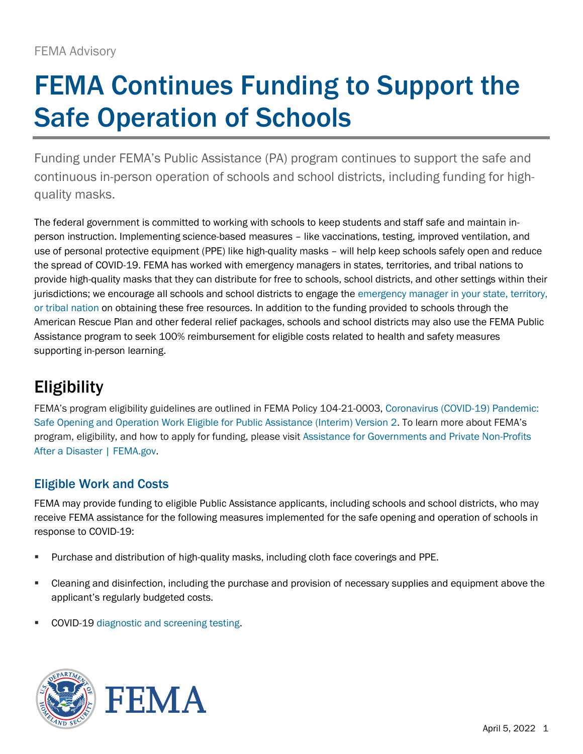# FEMA Continues Funding to Support the Safe Operation of Schools

Funding under FEMA's Public Assistance (PA) program continues to support the safe and continuous in-person operation of schools and school districts, including funding for highquality masks.

The federal government is committed to working with schools to keep students and staff safe and maintain inperson instruction. Implementing science-based measures – like vaccinations, testing, improved ventilation, and use of personal protective equipment (PPE) like high-quality masks – will help keep schools safely open and reduce the spread of COVID-19. FEMA has worked with emergency managers in states, territories, and tribal nations to provide high-quality masks that they can distribute for free to schools, school districts, and other settings within their jurisdictions; we encourage all schools and school districts to engage the emergency manager in your state, territory, [or tribal nation](https://www.fema.gov/locations) on obtaining these free resources. In addition to the funding provided to schools through the American Rescue Plan and other federal relief packages, schools and school districts may also use the FEMA Public Assistance program to seek 100% reimbursement for eligible costs related to health and safety measures supporting in-person learning.

## Eligibility

FEMA's program eligibility guidelines are outlined in FEMA Policy 104-21-0003, [Coronavirus \(COVID-19\) Pandemic:](https://www.fema.gov/sites/default/files/documents/fema_covid-19-pandemic-safe-opening-operation-work-eligible-public-assistance-interim-policy_2_09082021.pdf)  [Safe Opening and Operation Work Eligible for Public Assistance \(Interim\) Version 2.](https://www.fema.gov/sites/default/files/documents/fema_covid-19-pandemic-safe-opening-operation-work-eligible-public-assistance-interim-policy_2_09082021.pdf) To learn more about FEMA's program, eligibility, and how to apply for funding, please visit [Assistance for Governments and Private Non-Profits](https://www.fema.gov/assistance/public)  [After a Disaster | FEMA.gov.](https://www.fema.gov/assistance/public)

#### Eligible Work and Costs

FEMA may provide funding to eligible Public Assistance applicants, including schools and school districts, who may receive FEMA assistance for the following measures implemented for the safe opening and operation of schools in response to COVID-19:

- Purchase and distribution of high-quality masks, including cloth face coverings and PPE.
- Cleaning and disinfection, including the purchase and provision of necessary supplies and equipment above the applicant's regularly budgeted costs.
- COVID-19 [diagnostic and screening testing.](https://www.cdc.gov/coronavirus/2019-ncov/hcp/testing-overview.html)



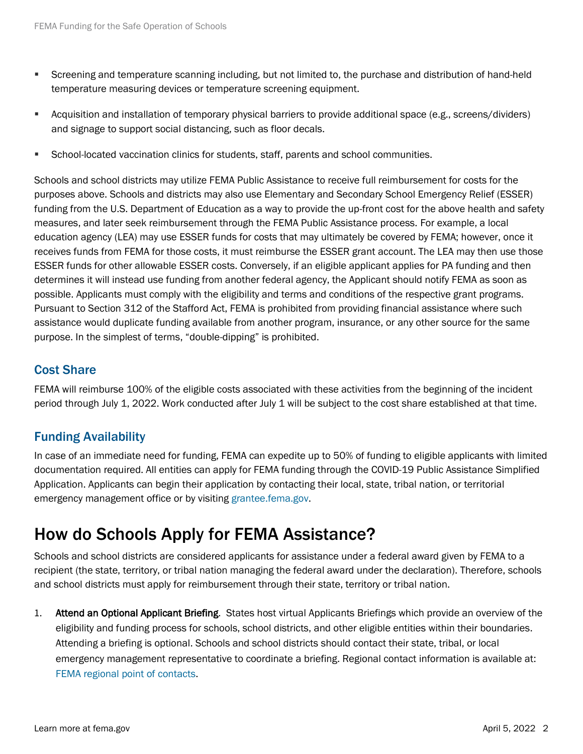- Screening and temperature scanning including, but not limited to, the purchase and distribution of hand-held temperature measuring devices or temperature screening equipment.
- Acquisition and installation of temporary physical barriers to provide additional space (e.g., screens/dividers) and signage to support social distancing, such as floor decals.
- **EXECT** School-located vaccination clinics for students, staff, parents and school communities.

Schools and school districts may utilize FEMA Public Assistance to receive full reimbursement for costs for the purposes above. Schools and districts may also use Elementary and Secondary School Emergency Relief (ESSER) funding from the U.S. Department of Education as a way to provide the up-front cost for the above health and safety measures, and later seek reimbursement through the FEMA Public Assistance process. For example, a local education agency (LEA) may use ESSER funds for costs that may ultimately be covered by FEMA; however, once it receives funds from FEMA for those costs, it must reimburse the ESSER grant account. The LEA may then use those ESSER funds for other allowable ESSER costs. Conversely, if an eligible applicant applies for PA funding and then determines it will instead use funding from another federal agency, the Applicant should notify FEMA as soon as possible. Applicants must comply with the eligibility and terms and conditions of the respective grant programs. Pursuant to Section 312 of the Stafford Act, FEMA is prohibited from providing financial assistance where such assistance would duplicate funding available from another program, insurance, or any other source for the same purpose. In the simplest of terms, "double-dipping" is prohibited.

#### Cost Share

FEMA will reimburse 100% of the eligible costs associated with these activities from the beginning of the incident period through July 1, 2022. Work conducted after July 1 will be subject to the cost share established at that time.

#### Funding Availability

In case of an immediate need for funding, FEMA can expedite up to 50% of funding to eligible applicants with limited documentation required. All entities can apply for FEMA funding through the [COVID-19 Public Assistance Simplified](https://www.fema.gov/fact-sheet/public-assistance-simplified-application)  [Application.](https://www.fema.gov/fact-sheet/public-assistance-simplified-application) Applicants can begin their application by contacting their local, state, tribal nation, or territorial emergency management office or by visiting [grantee.fema.gov.](https://grantee.fema.gov/)

### How do Schools Apply for FEMA Assistance?

Schools and school districts are considered applicants for assistance under a federal award given by FEMA to a recipient (the state, territory, or tribal nation managing the federal award under the declaration). Therefore, schools and school districts must apply for reimbursement through their state, territory or tribal nation.

1. Attend an Optional Applicant Briefing. States host virtual Applicants Briefings which provide an overview of the eligibility and funding process for schools, school districts, and other eligible entities within their boundaries. Attending a briefing is optional. Schools and school districts should contact their state, tribal, or local emergency management representative to coordinate a briefing. Regional contact information is available at: [FEMA regional point of contacts.](https://www.fema.gov/about/contact#regions)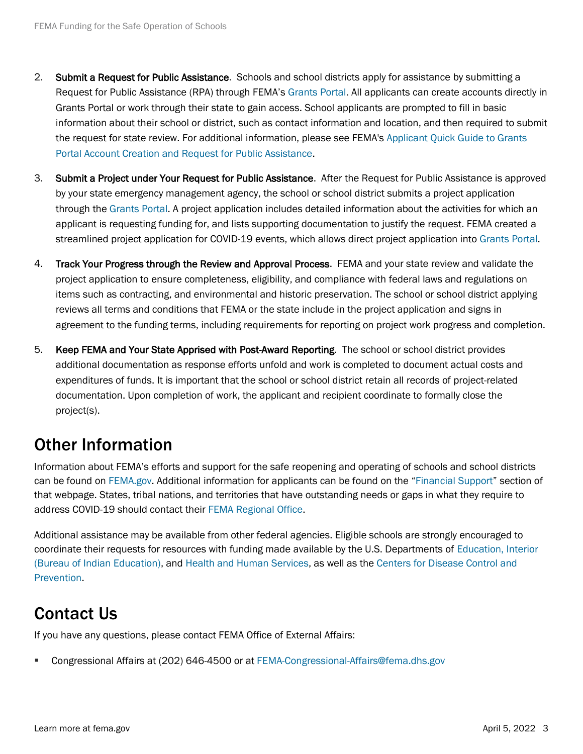- 2. Submit a Request for Public Assistance. Schools and school districts apply for assistance by submitting a Request for Public Assistance (RPA) through FEMA's [Grants Portal.](https://grantee.fema.gov/) All applicants can create accounts directly in Grants Portal or work through their state to gain access. School applicants are prompted to fill in basic information about their school or district, such as contact information and location, and then required to submit the request for state review. For additional information, please see FEMA's [Applicant Quick Guide to Grants](https://grantee.fema.gov/Content/files/Applicant%20Quick%20Guide%20Grants%20Portal%20Account%20and%20RPA%20(Mar%2028%202020).pdf)  [Portal Account Creation and Request for Public Assistance.](https://grantee.fema.gov/Content/files/Applicant%20Quick%20Guide%20Grants%20Portal%20Account%20and%20RPA%20(Mar%2028%202020).pdf)
- 3. Submit a Project under Your Request for Public Assistance. After the Request for Public Assistance is approved by your state emergency management agency, the school or school district submits a project application through the [Grants Portal.](https://grantee.fema.gov/) A project application includes detailed information about the activities for which an applicant is requesting funding for, and lists supporting documentation to justify the request. FEMA created a streamlined project application for COVID-19 events, which allows direct project application int[o Grants Portal.](https://grantee.fema.gov/)
- 4. Track Your Progress through the Review and Approval Process. FEMA and your state review and validate the project application to ensure completeness, eligibility, and compliance with federal laws and regulations on items such as contracting, and environmental and historic preservation. The school or school district applying reviews all terms and conditions that FEMA or the state include in the project application and signs in agreement to the funding terms, including requirements for reporting on project work progress and completion.
- 5. Keep FEMA and Your State Apprised with Post-Award Reporting. The school or school district provides additional documentation as response efforts unfold and work is completed to document actual costs and expenditures of funds. It is important that the school or school district retain all records of project-related documentation. Upon completion of work, the applicant and recipient coordinate to formally close the project(s).

## Other Information

Information about FEMA's efforts and support for the safe reopening and operating of schools and school districts can be found on [FEMA.gov. A](https://www.fema.gov/disaster/coronavirus)dditional information for applicants can be found on the "[Financial Support](https://www.fema.gov/disaster/coronavirus/governments)" section of that webpage. States, tribal nations, and territories that have outstanding needs or gaps in what they require to address COVID-19 should contact thei[r FEMA Regional Office.](https://www.fema.gov/about/contact#regions)

Additional assistance may be available from other federal agencies. Eligible schools are strongly encouraged to coordinate their requests for resources with funding made available by the U.S. Departments of [Education,](https://www.ed.gov/coronavirus) [Interior](https://www.bie.edu/topic-page/covid-19-school-guidance)  [\(Bureau of Indian Education\),](https://www.bie.edu/topic-page/covid-19-school-guidance) and [Health and Human Services, as well as the](https://www.cdc.gov/ncezid/dpei/elc/covid-response/index.html) Centers for Disease Control and [Prevention.](https://www.cdc.gov/ncezid/dpei/elc/covid-response/index.html)

## Contact Us

If you have any questions, please contact FEMA Office of External Affairs:

Congressional Affairs at (202) 646-4500 or at FEMA-Congressional-Affairs@fema.dhs.gov